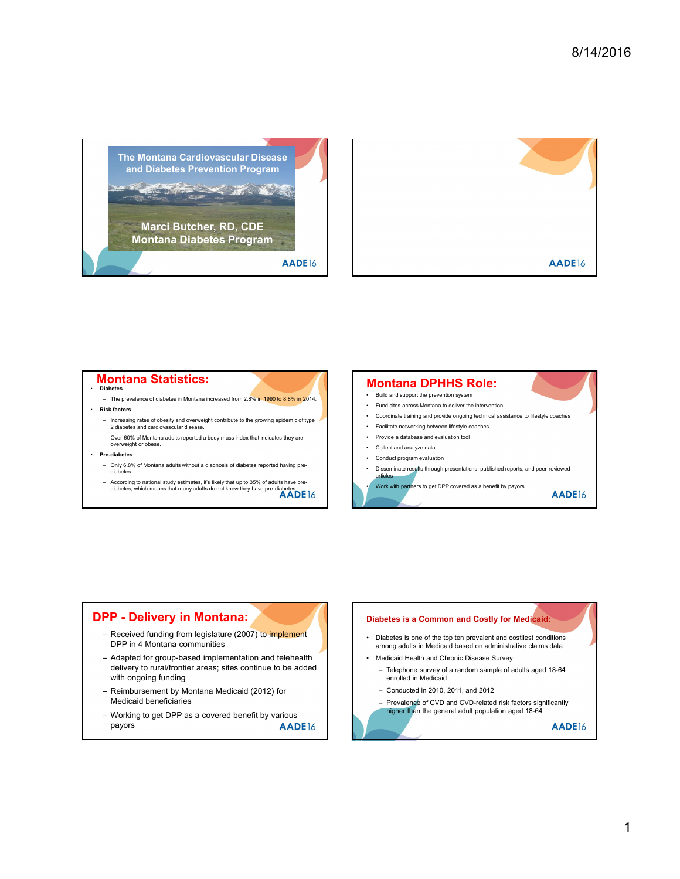



## **Montana Statistics:**

- Diabetes
- -
- overweight or obese.
- Pre-diabetes
- 
- 

## **Montana DPHHS Role:**<br>• Build and support the prevention system

- 
- 
- 
- 
- 
- 

## **Montana Statistics:**<br>
The presence of diabetes in Montana EDPHHS Role<br>
Content and of diabetes in the means that many advertise to not know the provide subseque that the property of the property of the property of the pro Fourteement of the two-states in Montform DPHHS Received form 2007, and an alternative method for the product of the center of the center of the center of the center of the center of the center of the center of the center Received funding from legislature (2007) to implement <br>DPP in 4 Montana communities among adults in Medicaid based on administrative claims data delivery to rural/frontier areas; sites continue to be added <br>- Telephone survey of a random sample of adults aged 18-64 with ongoing funding — Reimann and the total states which means the third work of the time of the state and the content of the property and the state of the state of the state of the state of the state of the state of the state of the state o – 2 overed benefit of density distances.<br>
Sometisty of density and the special of density and the special of the special of the special of density of the special of the special of the special of the special of the speci

- Medicaid beneficiaries
- payors **AADE**16